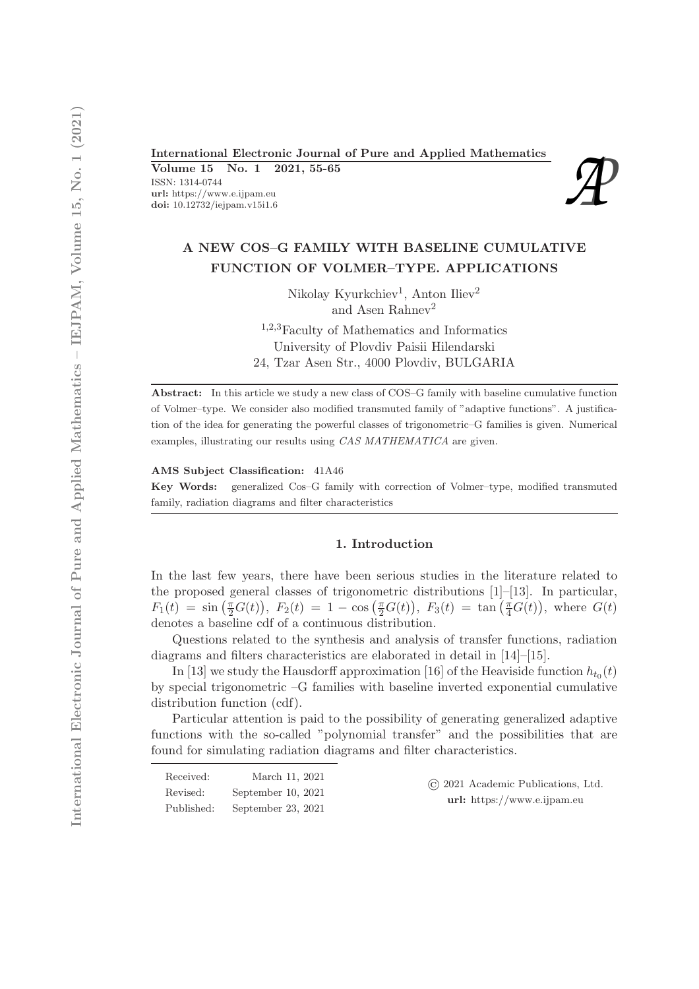# International Electronic Journal of Pure and Applied Mathematics<br>
Volume 15 No. 1 2021, 55-65<br>
ISSN: 1314-0744<br>
url: https://www.e.ijpam.eu<br>
doi: 10.12732/iejpam.v15i1.6

Volume 15 No. 1 2021, 55-65

ISSN: 1314-0744 url: https://www.e.ijpam.eu<br>doi: 10.12732/iejpam.v15i1.6



# A NEW COS–G FAMILY WITH BASELINE CUMULATIVE FUNCTION OF VOLMER–TYPE. APPLICATIONS

Nikolay Kyurkchiev<sup>1</sup>, Anton Iliev<sup>2</sup> and Asen Rahnev<sup>2</sup>

<sup>1</sup>,2,3Faculty of Mathematics and Informatics University of Plovdiv Paisii Hilendarski 24, Tzar Asen Str., 4000 Plovdiv, BULGARIA

Abstract: In this article we study a new class of COS–G family with baseline cumulative function of Volmer–type. We consider also modified transmuted family of "adaptive functions". A justification of the idea for generating the powerful classes of trigonometric–G families is given. Numerical examples, illustrating our results using CAS MATHEMATICA are given.

AMS Subject Classification: 41A46

Key Words: generalized Cos–G family with correction of Volmer–type, modified transmuted family, radiation diagrams and filter characteristics

### 1. Introduction

In the last few years, there have been serious studies in the literature related to the proposed general classes of trigonometric distributions [1]–[13]. In particular,  $F_1(t) = \sin(\frac{\pi}{2}G(t)), F_2(t) = 1 - \cos(\frac{\pi}{2}G(t)), F_3(t) = \tan(\frac{\pi}{4}G(t)),$  where  $G(t)$ denotes a baseline cdf of a continuous distribution.

Questions related to the synthesis and analysis of transfer functions, radiation diagrams and filters characteristics are elaborated in detail in [14]–[15].

In [13] we study the Hausdorff approximation [16] of the Heaviside function  $h_{t_0}(t)$ by special trigonometric –G families with baseline inverted exponential cumulative distribution function (cdf).

Particular attention is paid to the possibility of generating generalized adaptive functions with the so-called "polynomial transfer" and the possibilities that are found for simulating radiation diagrams and filter characteristics.

| Received:  | March 11, 2021     |
|------------|--------------------|
| Revised:   | September 10, 2021 |
| Published: | September 23, 2021 |

© 2021 Academic Publications, Ltd. url: https://www.e.ijpam.eu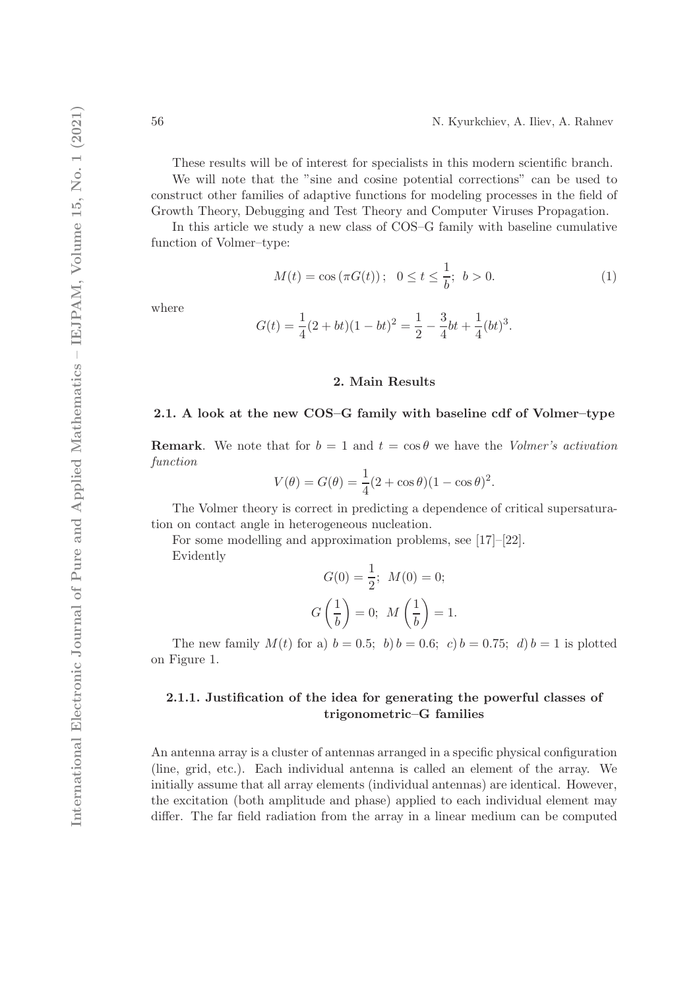These results will be of interest for specialists in this modern scientific branch. We will note that the "sine and cosine potential corrections" can be used to construct other families of adaptive functions for modeling processes in the field of Growth Theory, Debugging and Test Theory and Computer Viruses Propagation.

In this article we study a new class of COS–G family with baseline cumulative function of Volmer–type:

$$
M(t) = \cos(\pi G(t)); \quad 0 \le t \le \frac{1}{b}; \quad b > 0.
$$
 (1)

where

$$
G(t) = \frac{1}{4}(2+bt)(1-bt)^{2} = \frac{1}{2} - \frac{3}{4}bt + \frac{1}{4}(bt)^{3}.
$$

## 2. Main Results

# 2.1. A look at the new COS–G family with baseline cdf of Volmer–type

**Remark.** We note that for  $b = 1$  and  $t = \cos \theta$  we have the Volmer's activation function

$$
V(\theta) = G(\theta) = \frac{1}{4}(2 + \cos \theta)(1 - \cos \theta)^{2}.
$$

The Volmer theory is correct in predicting a dependence of critical supersaturation on contact angle in heterogeneous nucleation.

For some modelling and approximation problems, see [17]–[22]. Evidently

$$
G(0) = \frac{1}{2}; \ M(0) = 0;
$$
  

$$
G\left(\frac{1}{b}\right) = 0; \ M\left(\frac{1}{b}\right) = 1.
$$

The new family  $M(t)$  for a)  $b = 0.5$ ; b)  $b = 0.6$ ; c)  $b = 0.75$ ; d)  $b = 1$  is plotted on Figure 1.

# 2.1.1. Justification of the idea for generating the powerful classes of trigonometric–G families

An antenna array is a cluster of antennas arranged in a specific physical configuration (line, grid, etc.). Each individual antenna is called an element of the array. We initially assume that all array elements (individual antennas) are identical. However, the excitation (both amplitude and phase) applied to each individual element may differ. The far field radiation from the array in a linear medium can be computed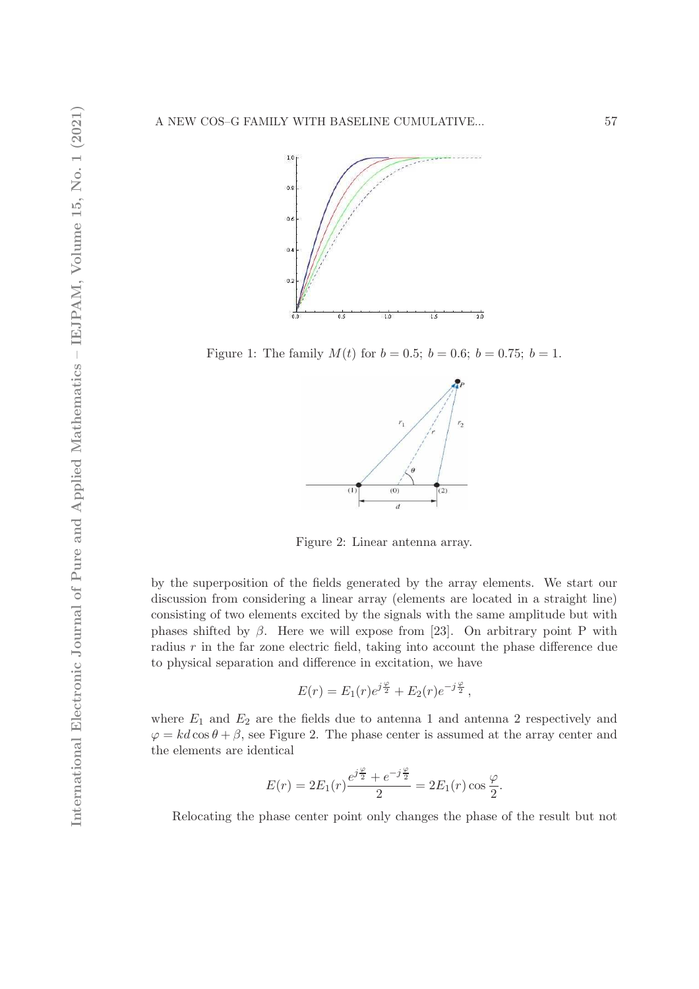

Figure 1: The family  $M(t)$  for  $b = 0.5$ ;  $b = 0.6$ ;  $b = 0.75$ ;  $b = 1$ .



Figure 2: Linear antenna array.

by the superposition of the fields generated by the array elements. We start our discussion from considering a linear array (elements are located in a straight line) consisting of two elements excited by the signals with the same amplitude but with phases shifted by  $\beta$ . Here we will expose from [23]. On arbitrary point P with radius  $r$  in the far zone electric field, taking into account the phase difference due to physical separation and difference in excitation, we have

$$
E(r) = E_1(r)e^{j\frac{\varphi}{2}} + E_2(r)e^{-j\frac{\varphi}{2}},
$$

where  $E_1$  and  $E_2$  are the fields due to antenna 1 and antenna 2 respectively and  $\varphi = kd \cos \theta + \beta$ , see Figure 2. The phase center is assumed at the array center and the elements are identical

$$
E(r) = 2E_1(r)\frac{e^{j\frac{\varphi}{2}} + e^{-j\frac{\varphi}{2}}}{2} = 2E_1(r)\cos\frac{\varphi}{2}.
$$

Relocating the phase center point only changes the phase of the result but not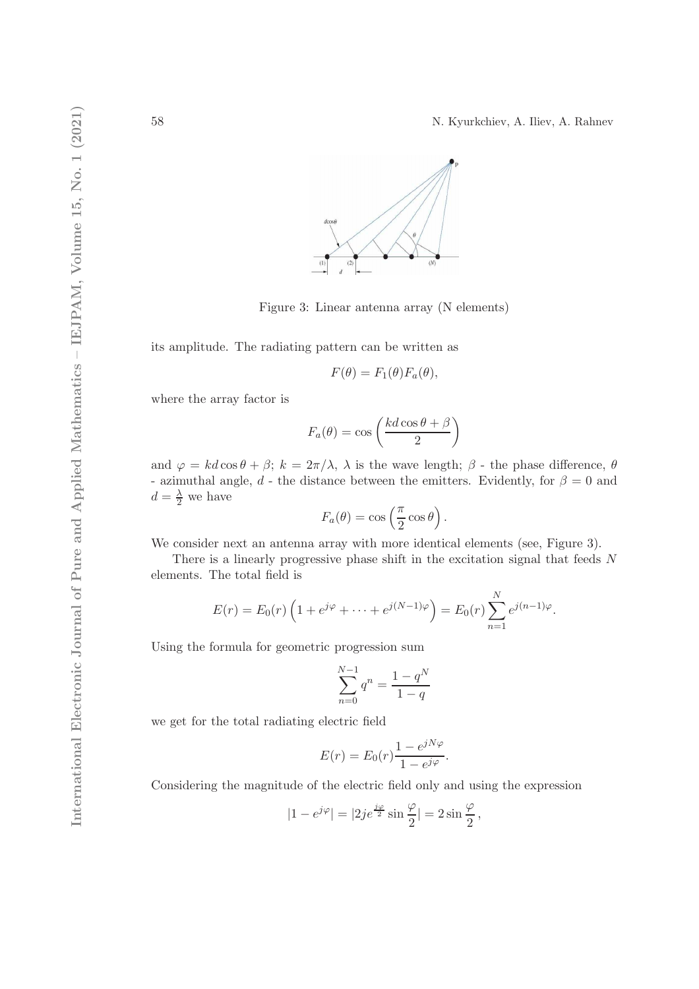58 N. Kyurkchiev, A. Iliev, A. Rahnev



Figure 3: Linear antenna array (N elements)

its amplitude. The radiating pattern can be written as

$$
F(\theta) = F_1(\theta) F_a(\theta),
$$

where the array factor is

$$
F_a(\theta) = \cos\left(\frac{kd\cos\theta + \beta}{2}\right)
$$

and  $\varphi = kd \cos \theta + \beta$ ;  $k = 2\pi/\lambda$ ,  $\lambda$  is the wave length;  $\beta$  - the phase difference,  $\theta$ - azimuthal angle, d - the distance between the emitters. Evidently, for  $\beta = 0$  and  $d=\frac{\lambda}{2}$  we have

$$
F_a(\theta) = \cos\left(\frac{\pi}{2}\cos\theta\right).
$$

We consider next an antenna array with more identical elements (see, Figure 3).

There is a linearly progressive phase shift in the excitation signal that feeds N elements. The total field is

$$
E(r) = E_0(r) \left( 1 + e^{j\varphi} + \dots + e^{j(N-1)\varphi} \right) = E_0(r) \sum_{n=1}^{N} e^{j(n-1)\varphi}.
$$

Using the formula for geometric progression sum

$$
\sum_{n=0}^{N-1} q^n = \frac{1-q^N}{1-q}
$$

we get for the total radiating electric field

$$
E(r) = E_0(r) \frac{1 - e^{jN\varphi}}{1 - e^{j\varphi}}.
$$

Considering the magnitude of the electric field only and using the expression

$$
|1 - e^{j\varphi}| = |2j e^{\frac{j\varphi}{2}} \sin \frac{\varphi}{2}| = 2 \sin \frac{\varphi}{2},
$$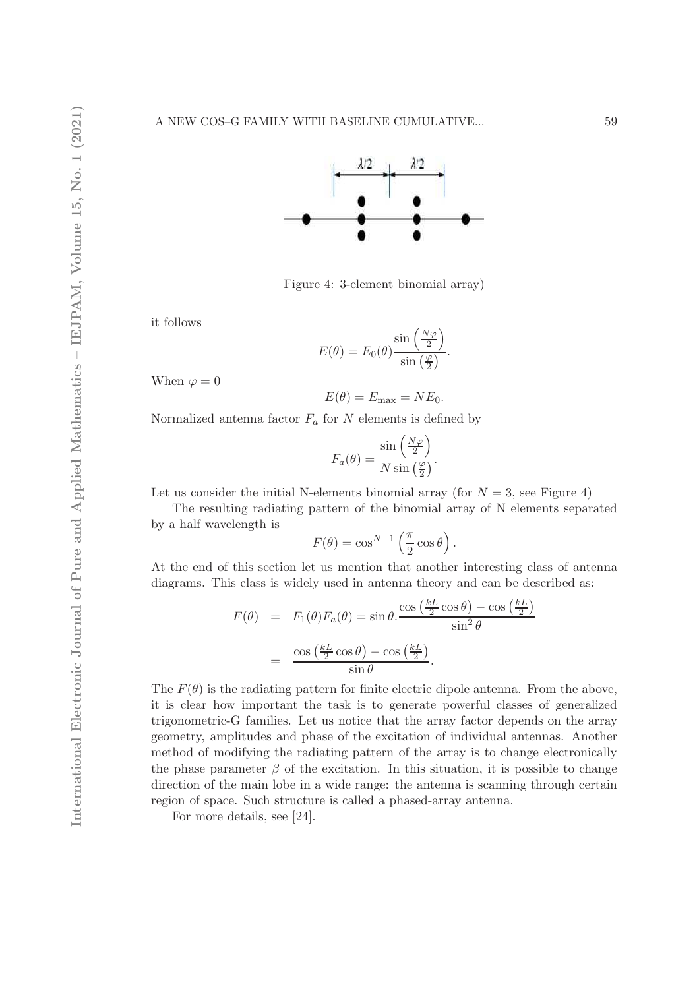

Figure 4: 3-element binomial array)

it follows

$$
E(\theta) = E_0(\theta) \frac{\sin\left(\frac{N\varphi}{2}\right)}{\sin\left(\frac{\varphi}{2}\right)}.
$$

When  $\varphi = 0$ 

$$
E(\theta) = E_{\text{max}} = NE_0.
$$

Normalized antenna factor  $F_a$  for N elements is defined by

$$
F_a(\theta) = \frac{\sin\left(\frac{N\varphi}{2}\right)}{N\sin\left(\frac{\varphi}{2}\right)}.
$$

Let us consider the initial N-elements binomial array (for  $N = 3$ , see Figure 4)

The resulting radiating pattern of the binomial array of N elements separated by a half wavelength is

$$
F(\theta) = \cos^{N-1} \left(\frac{\pi}{2} \cos \theta\right).
$$

At the end of this section let us mention that another interesting class of antenna diagrams. This class is widely used in antenna theory and can be described as:

$$
F(\theta) = F_1(\theta) F_a(\theta) = \sin \theta \cdot \frac{\cos (\frac{kL}{2} \cos \theta) - \cos (\frac{kL}{2})}{\sin^2 \theta}
$$

$$
= \frac{\cos (\frac{kL}{2} \cos \theta) - \cos (\frac{kL}{2})}{\sin \theta}.
$$

The  $F(\theta)$  is the radiating pattern for finite electric dipole antenna. From the above, it is clear how important the task is to generate powerful classes of generalized trigonometric-G families. Let us notice that the array factor depends on the array geometry, amplitudes and phase of the excitation of individual antennas. Another method of modifying the radiating pattern of the array is to change electronically the phase parameter  $\beta$  of the excitation. In this situation, it is possible to change direction of the main lobe in a wide range: the antenna is scanning through certain region of space. Such structure is called a phased-array antenna.

For more details, see [24].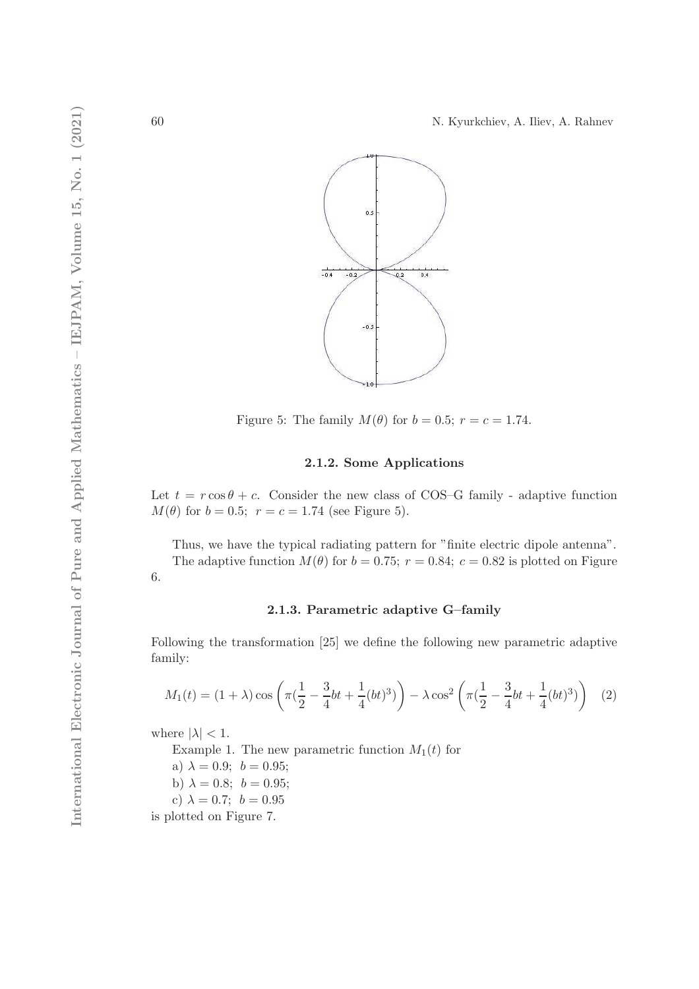

Figure 5: The family  $M(\theta)$  for  $b = 0.5$ ;  $r = c = 1.74$ .

# 2.1.2. Some Applications

Let  $t = r \cos \theta + c$ . Consider the new class of COS–G family - adaptive function  $M(\theta)$  for  $b = 0.5$ ;  $r = c = 1.74$  (see Figure 5).

Thus, we have the typical radiating pattern for "finite electric dipole antenna". The adaptive function  $M(\theta)$  for  $b = 0.75$ ;  $r = 0.84$ ;  $c = 0.82$  is plotted on Figure 6.

# 2.1.3. Parametric adaptive G–family

Following the transformation [25] we define the following new parametric adaptive family:

$$
M_1(t) = (1+\lambda)\cos\left(\pi\left(\frac{1}{2} - \frac{3}{4}bt + \frac{1}{4}(bt)^3\right)\right) - \lambda\cos^2\left(\pi\left(\frac{1}{2} - \frac{3}{4}bt + \frac{1}{4}(bt)^3\right)\right) \tag{2}
$$

where  $|\lambda| < 1$ .

Example 1. The new parametric function  $M_1(t)$  for

a)  $\lambda = 0.9; b = 0.95;$ 

b)  $\lambda = 0.8; b = 0.95;$ 

c)  $\lambda = 0.7$ ;  $b = 0.95$ 

is plotted on Figure 7.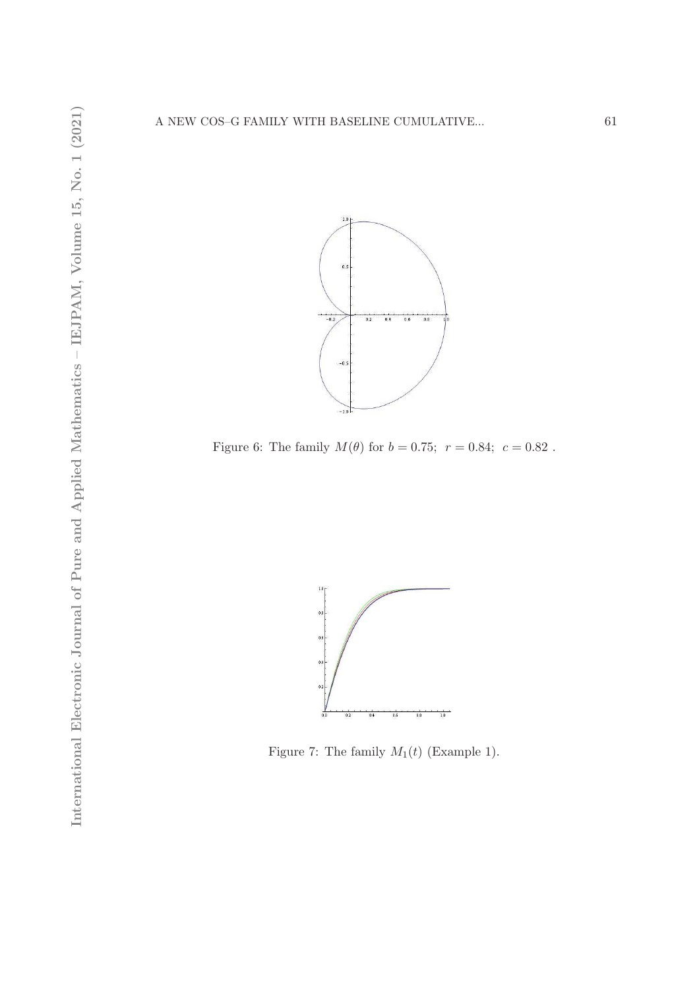

Figure 6: The family  $M(\theta)$  for  $b = 0.75$ ;  $r = 0.84$ ;  $c = 0.82$ .



Figure 7: The family  $M_1(t)$  (Example 1).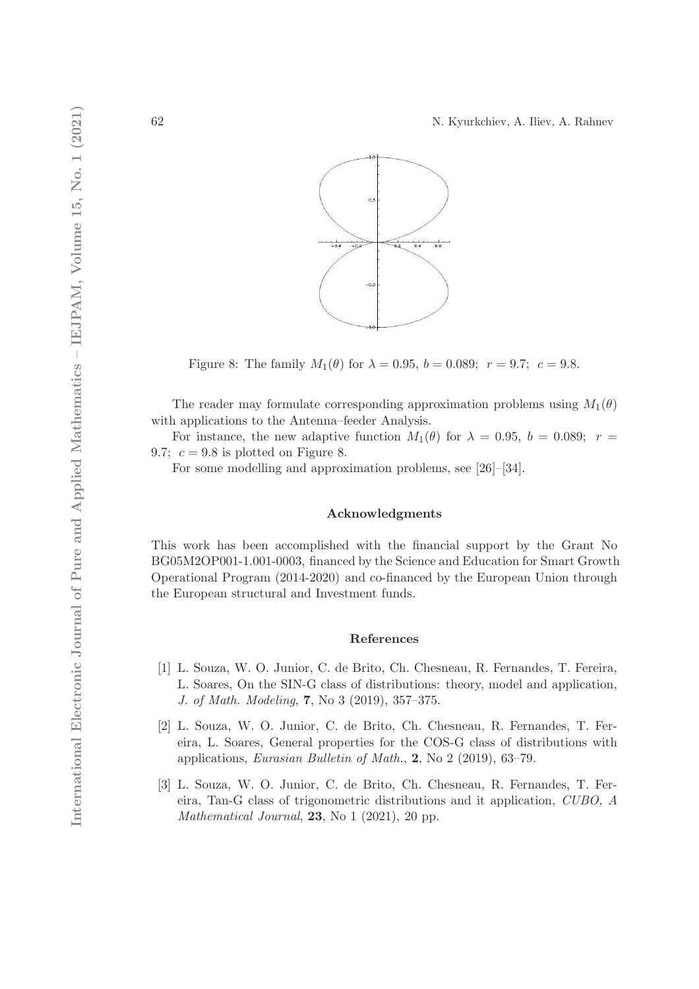

Figure 8: The family  $M_1(\theta)$  for  $\lambda = 0.95, b = 0.089; r = 9.7; c = 9.8$ .

The reader may formulate corresponding approximation problems using  $M_1(\theta)$ with applications to the Antenna–feeder Analysis.

For instance, the new adaptive function  $M_1(\theta)$  for  $\lambda = 0.95$ ,  $b = 0.089$ ;  $r =$ 9.7;  $c = 9.8$  is plotted on Figure 8.

For some modelling and approximation problems, see [26]–[34].

### Acknowledgments

This work has been accomplished with the financial support by the Grant No BG05M2OP001-1.001-0003, financed by the Science and Education for Smart Growth Operational Program (2014-2020) and co-financed by the European Union through the European structural and Investment funds.

# References

- [1] L. Souza, W. O. Junior, C. de Brito, Ch. Chesneau, R. Fernandes, T. Fereira, L. Soares, On the SIN-G class of distributions: theory, model and application, J. of Math. Modeling, 7, No 3 (2019), 357–375.
- [2] L. Souza, W. O. Junior, C. de Brito, Ch. Chesneau, R. Fernandes, T. Fereira, L. Soares, General properties for the COS-G class of distributions with applications, Eurasian Bulletin of Math., 2, No 2 (2019), 63–79.
- [3] L. Souza, W. O. Junior, C. de Brito, Ch. Chesneau, R. Fernandes, T. Fereira, Tan-G class of trigonometric distributions and it application, CUBO, A Mathematical Journal,  $23$ , No 1 (2021), 20 pp.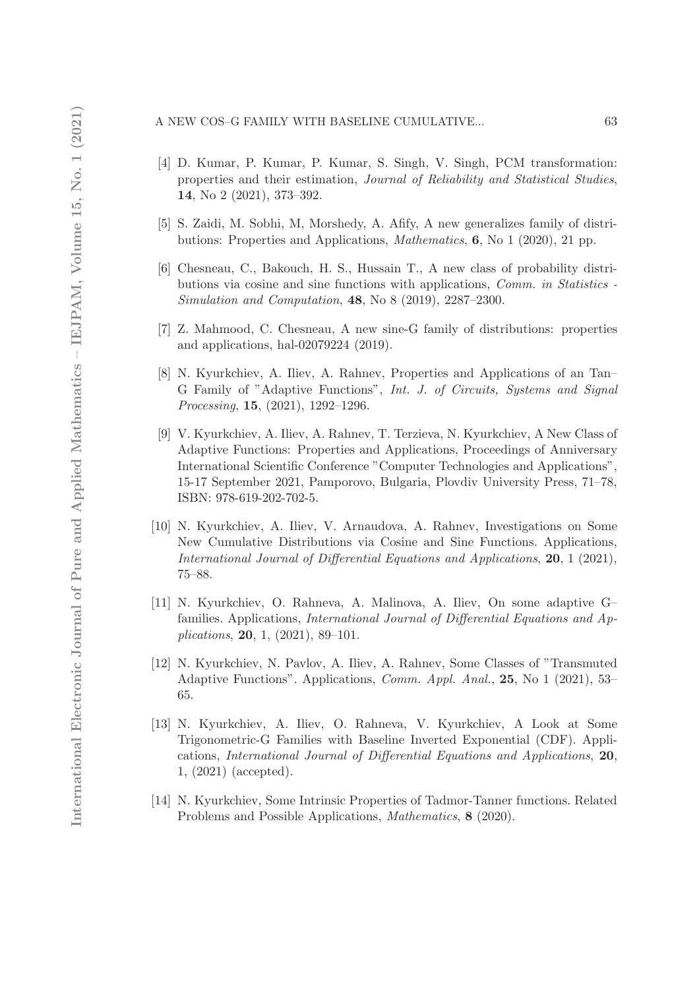### A NEW COS–G FAMILY WITH BASELINE CUMULATIVE... 63

- [4] D. Kumar, P. Kumar, P. Kumar, S. Singh, V. Singh, PCM transformation: properties and their estimation, Journal of Reliability and Statistical Studies, 14, No 2 (2021), 373–392.
- [5] S. Zaidi, M. Sobhi, M, Morshedy, A. Afify, A new generalizes family of distributions: Properties and Applications, Mathematics, 6, No 1 (2020), 21 pp.
- [6] Chesneau, C., Bakouch, H. S., Hussain T., A new class of probability distributions via cosine and sine functions with applications, Comm. in Statistics - Simulation and Computation, 48, No 8 (2019), 2287–2300.
- [7] Z. Mahmood, C. Chesneau, A new sine-G family of distributions: properties and applications, hal-02079224 (2019).
- [8] N. Kyurkchiev, A. Iliev, A. Rahnev, Properties and Applications of an Tan– G Family of "Adaptive Functions", Int. J. of Circuits, Systems and Signal Processing, 15, (2021), 1292–1296.
- [9] V. Kyurkchiev, A. Iliev, A. Rahnev, T. Terzieva, N. Kyurkchiev, A New Class of Adaptive Functions: Properties and Applications, Proceedings of Anniversary International Scientific Conference "Computer Technologies and Applications", 15-17 September 2021, Pamporovo, Bulgaria, Plovdiv University Press, 71–78, ISBN: 978-619-202-702-5.
- [10] N. Kyurkchiev, A. Iliev, V. Arnaudova, A. Rahnev, Investigations on Some New Cumulative Distributions via Cosine and Sine Functions. Applications, International Journal of Differential Equations and Applications, 20, 1 (2021), 75–88.
- [11] N. Kyurkchiev, O. Rahneva, A. Malinova, A. Iliev, On some adaptive G– families. Applications, International Journal of Differential Equations and Applications, 20, 1, (2021), 89–101.
- [12] N. Kyurkchiev, N. Pavlov, A. Iliev, A. Rahnev, Some Classes of "Transmuted Adaptive Functions". Applications, Comm. Appl. Anal., 25, No 1 (2021), 53– 65.
- [13] N. Kyurkchiev, A. Iliev, O. Rahneva, V. Kyurkchiev, A Look at Some Trigonometric-G Families with Baseline Inverted Exponential (CDF). Applications, International Journal of Differential Equations and Applications, 20, 1, (2021) (accepted).
- [14] N. Kyurkchiev, Some Intrinsic Properties of Tadmor-Tanner functions. Related Problems and Possible Applications, Mathematics, 8 (2020).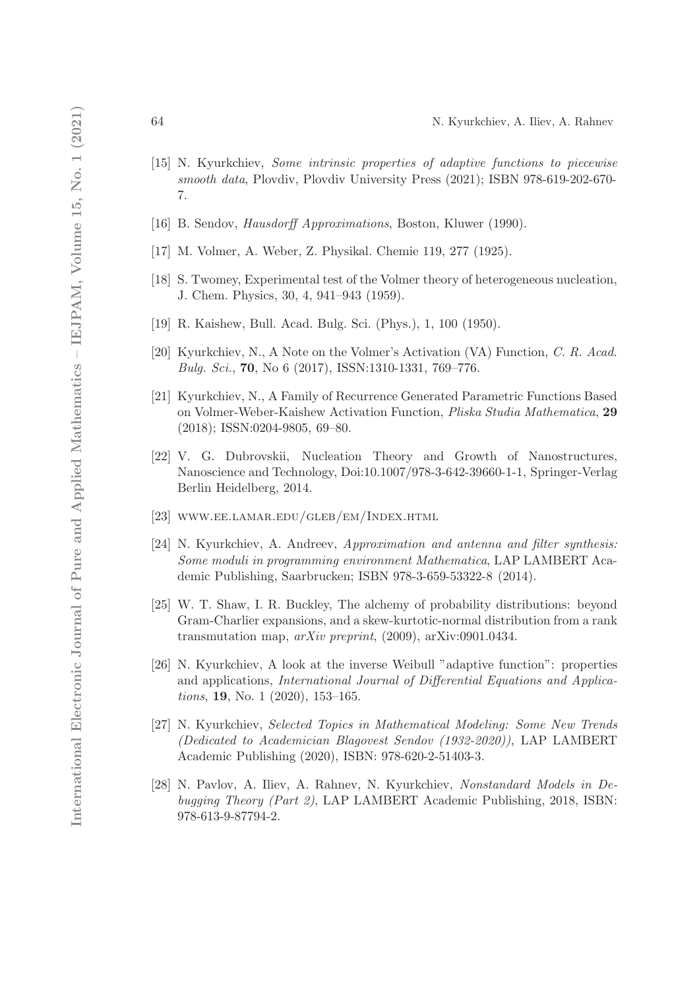- [15] N. Kyurkchiev, Some intrinsic properties of adaptive functions to piecewise smooth data, Plovdiv, Plovdiv University Press (2021); ISBN 978-619-202-670- 7.
- [16] B. Sendov, Hausdorff Approximations, Boston, Kluwer (1990).
- [17] M. Volmer, A. Weber, Z. Physikal. Chemie 119, 277 (1925).
- [18] S. Twomey, Experimental test of the Volmer theory of heterogeneous nucleation, J. Chem. Physics, 30, 4, 941–943 (1959).
- [19] R. Kaishew, Bull. Acad. Bulg. Sci. (Phys.), 1, 100 (1950).
- [20] Kyurkchiev, N., A Note on the Volmer's Activation (VA) Function, C. R. Acad. Bulg. Sci., 70, No 6 (2017), ISSN:1310-1331, 769–776.
- [21] Kyurkchiev, N., A Family of Recurrence Generated Parametric Functions Based on Volmer-Weber-Kaishew Activation Function, Pliska Studia Mathematica, 29 (2018); ISSN:0204-9805, 69–80.
- [22] V. G. Dubrovskii, Nucleation Theory and Growth of Nanostructures, Nanoscience and Technology, Doi:10.1007/978-3-642-39660-1-1, Springer-Verlag Berlin Heidelberg, 2014.
- [23] www.ee.lamar.edu/gleb/em/Index.html
- [24] N. Kyurkchiev, A. Andreev, Approximation and antenna and filter synthesis: Some moduli in programming environment Mathematica, LAP LAMBERT Academic Publishing, Saarbrucken; ISBN 978-3-659-53322-8 (2014).
- [25] W. T. Shaw, I. R. Buckley, The alchemy of probability distributions: beyond Gram-Charlier expansions, and a skew-kurtotic-normal distribution from a rank transmutation map,  $arXiv$  preprint, (2009),  $arXiv:0901.0434$ .
- [26] N. Kyurkchiev, A look at the inverse Weibull "adaptive function": properties and applications, International Journal of Differential Equations and Applications, 19, No. 1 (2020), 153–165.
- [27] N. Kyurkchiev, Selected Topics in Mathematical Modeling: Some New Trends (Dedicated to Academician Blagovest Sendov (1932-2020)), LAP LAMBERT Academic Publishing (2020), ISBN: 978-620-2-51403-3.
- [28] N. Pavlov, A. Iliev, A. Rahnev, N. Kyurkchiev, Nonstandard Models in Debugging Theory (Part 2), LAP LAMBERT Academic Publishing, 2018, ISBN: 978-613-9-87794-2.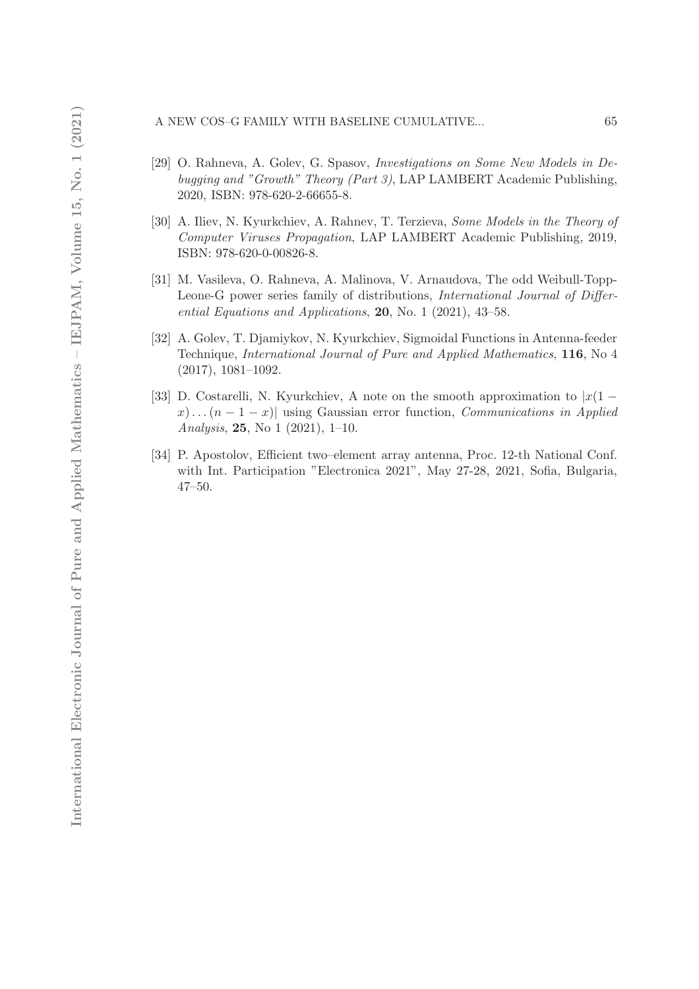# A NEW COS–G FAMILY WITH BASELINE CUMULATIVE... 65

- [29] O. Rahneva, A. Golev, G. Spasov, Investigations on Some New Models in Debugging and "Growth" Theory (Part 3), LAP LAMBERT Academic Publishing, 2020, ISBN: 978-620-2-66655-8.
- [30] A. Iliev, N. Kyurkchiev, A. Rahnev, T. Terzieva, Some Models in the Theory of Computer Viruses Propagation, LAP LAMBERT Academic Publishing, 2019, ISBN: 978-620-0-00826-8.
- [31] M. Vasileva, O. Rahneva, A. Malinova, V. Arnaudova, The odd Weibull-Topp-Leone-G power series family of distributions, International Journal of Differential Equations and Applications, 20, No. 1 (2021), 43–58.
- [32] A. Golev, T. Djamiykov, N. Kyurkchiev, Sigmoidal Functions in Antenna-feeder Technique, International Journal of Pure and Applied Mathematics, 116, No 4 (2017), 1081–1092.
- [33] D. Costarelli, N. Kyurkchiev, A note on the smooth approximation to  $|x(1$  $x) \dots (n-1-x)$  using Gaussian error function, *Communications in Applied* Analysis, 25, No 1 (2021), 1–10.
- [34] P. Apostolov, Efficient two–element array antenna, Proc. 12-th National Conf. with Int. Participation "Electronica 2021", May 27-28, 2021, Sofia, Bulgaria, 47–50.